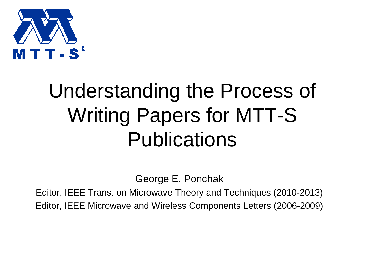

#### Understanding the Process of Writing Papers for MTT-S Publications

George E. Ponchak

Editor, IEEE Trans. on Microwave Theory and Techniques (2010-2013) Editor, IEEE Microwave and Wireless Components Letters (2006-2009)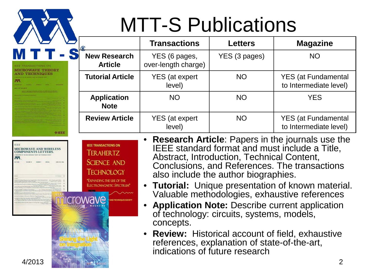

#### MTT-S Publications

| $\overline{R}$                        | <b>Transactions</b>                  | <b>Letters</b> | <b>Magazine</b>                                      |
|---------------------------------------|--------------------------------------|----------------|------------------------------------------------------|
| <b>New Research</b><br><b>Article</b> | YES (6 pages,<br>over-length charge) | YES (3 pages)  | <b>NO</b>                                            |
| <b>Tutorial Article</b>               | <b>YES</b> (at expert<br>level)      | <b>NO</b>      | <b>YES</b> (at Fundamental<br>to Intermediate level) |
| <b>Application</b><br><b>Note</b>     | <b>NO</b>                            | <b>NO</b>      | <b>YES</b>                                           |
| <b>Review Article</b>                 | YES (at expert<br>level)             | <b>NO</b>      | <b>YES</b> (at Fundamental<br>to Intermediate level) |

EFF **IEEE TRANSACTIONS ON MICROWAVE AND WIRELESS COMPONENTS LETTERS. TER AHER TZ SCIENCE AND TECHNOLOGY** EXPANDING THE USE OF THE **ELECTROMAGNETIC SPECTRUM** 

**OIEEE** 

- **Research Article**: Papers in the journals use the IEEE standard format and must include a Title, Abstract, Introduction, Technical Content, Conclusions, and References. The transactions also include the author biographies.
- **Tutorial:** Unique presentation of known material. Valuable methodologies, exhaustive references
- **Application Note:** Describe current application of technology: circuits, systems, models, concepts.
- **Review:** Historical account of field, exhaustive references, explanation of state-of-the-art, indications of future research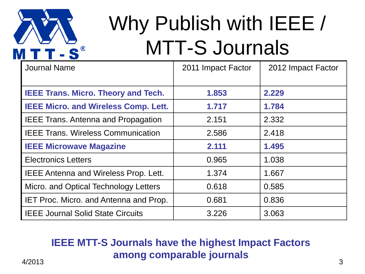

#### Why Publish with IEEE / MTT-S Journals

| <b>Journal Name</b>                           | 2011 Impact Factor | 2012 Impact Factor |
|-----------------------------------------------|--------------------|--------------------|
|                                               |                    |                    |
| <b>IEEE Trans. Micro. Theory and Tech.</b>    | 1.853              | 2.229              |
| <b>IEEE Micro. and Wireless Comp. Lett.</b>   | 1.717              | 1.784              |
| <b>IEEE Trans. Antenna and Propagation</b>    | 2.151              | 2.332              |
| <b>IEEE Trans. Wireless Communication</b>     | 2.586              | 2.418              |
| <b>IEEE Microwave Magazine</b>                | 2.111              | 1.495              |
| <b>Electronics Letters</b>                    | 0.965              | 1.038              |
| <b>IEEE Antenna and Wireless Prop. Lett.</b>  | 1.374              | 1.667              |
| Micro. and Optical Technology Letters         | 0.618              | 0.585              |
| <b>IET Proc. Micro. and Antenna and Prop.</b> | 0.681              | 0.836              |
| <b>IEEE Journal Solid State Circuits</b>      | 3.226              | 3.063              |

#### 4/2013 3 **IEEE MTT-S Journals have the highest Impact Factors among comparable journals**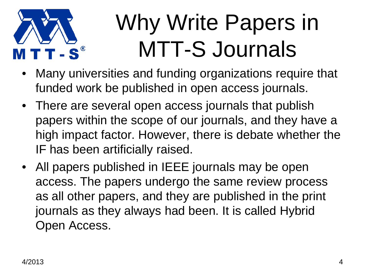

### Why Write Papers in MTT-S Journals

- Many universities and funding organizations require that funded work be published in open access journals.
- There are several open access journals that publish papers within the scope of our journals, and they have a high impact factor. However, there is debate whether the IF has been artificially raised.
- All papers published in IEEE journals may be open access. The papers undergo the same review process as all other papers, and they are published in the print journals as they always had been. It is called Hybrid Open Access.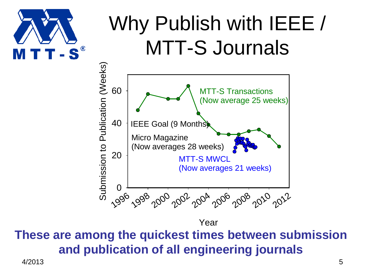

#### Why Publish with IEEE / MTT-S Journals



Year

**These are among the quickest times between submission and publication of all engineering journals**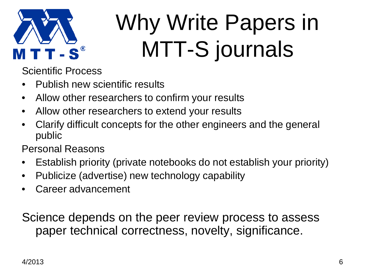

## Why Write Papers in MTT-S journals

Scientific Process

- Publish new scientific results
- Allow other researchers to confirm your results
- Allow other researchers to extend your results
- Clarify difficult concepts for the other engineers and the general public

Personal Reasons

- Establish priority (private notebooks do not establish your priority)
- Publicize (advertise) new technology capability
- Career advancement

Science depends on the peer review process to assess paper technical correctness, novelty, significance.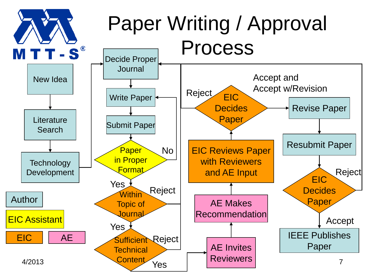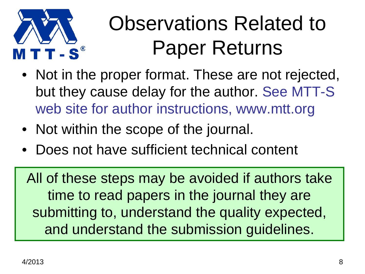

#### Observations Related to Paper Returns

- Not in the proper format. These are not rejected, but they cause delay for the author. See MTT-S web site for author instructions, www.mtt.org
- Not within the scope of the journal.
- Does not have sufficient technical content

All of these steps may be avoided if authors take time to read papers in the journal they are submitting to, understand the quality expected, and understand the submission guidelines.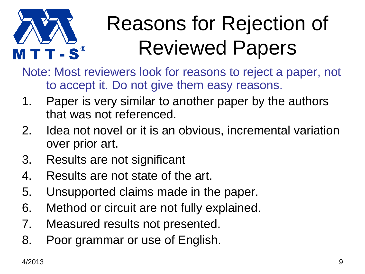

#### Reasons for Rejection of Reviewed Papers

Note: Most reviewers look for reasons to reject a paper, not to accept it. Do not give them easy reasons.

- 1. Paper is very similar to another paper by the authors that was not referenced.
- 2. Idea not novel or it is an obvious, incremental variation over prior art.
- 3. Results are not significant
- 4. Results are not state of the art.
- 5. Unsupported claims made in the paper.
- 6. Method or circuit are not fully explained.
- 7. Measured results not presented.
- 8. Poor grammar or use of English.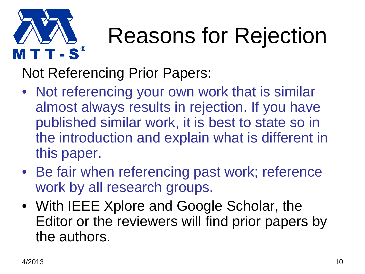

Not Referencing Prior Papers:

- Not referencing your own work that is similar almost always results in rejection. If you have published similar work, it is best to state so in the introduction and explain what is different in this paper.
- Be fair when referencing past work; reference work by all research groups.
- With IEEE Xplore and Google Scholar, the Editor or the reviewers will find prior papers by the authors.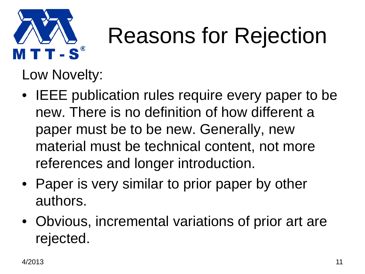

Low Novelty:

- IEEE publication rules require every paper to be new. There is no definition of how different a paper must be to be new. Generally, new material must be technical content, not more references and longer introduction.
- Paper is very similar to prior paper by other authors.
- Obvious, incremental variations of prior art are rejected.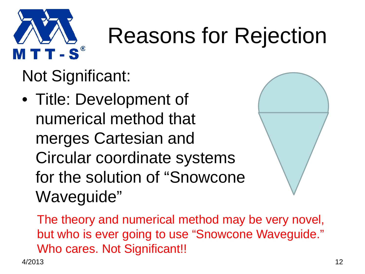

Not Significant:

• Title: Development of numerical method that merges Cartesian and Circular coordinate systems for the solution of "Snowcone Waveguide"



The theory and numerical method may be very novel, but who is ever going to use "Snowcone Waveguide." Who cares. Not Significant!!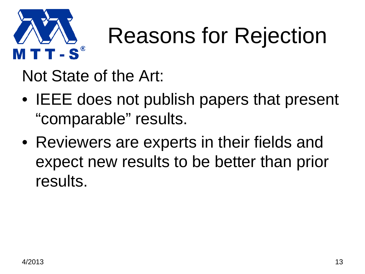

Not State of the Art:

- IEEE does not publish papers that present "comparable" results.
- Reviewers are experts in their fields and expect new results to be better than prior results.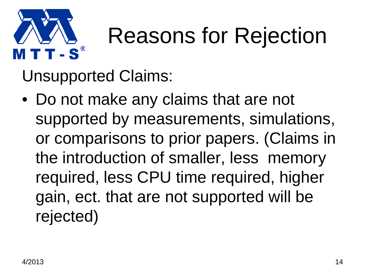

Unsupported Claims:

• Do not make any claims that are not supported by measurements, simulations, or comparisons to prior papers. (Claims in the introduction of smaller, less memory required, less CPU time required, higher gain, ect. that are not supported will be rejected)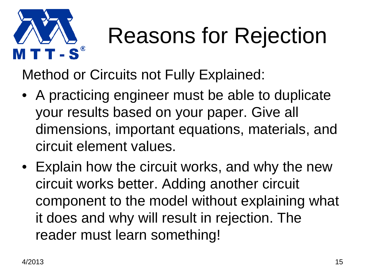

Method or Circuits not Fully Explained:

- A practicing engineer must be able to duplicate your results based on your paper. Give all dimensions, important equations, materials, and circuit element values.
- Explain how the circuit works, and why the new circuit works better. Adding another circuit component to the model without explaining what it does and why will result in rejection. The reader must learn something!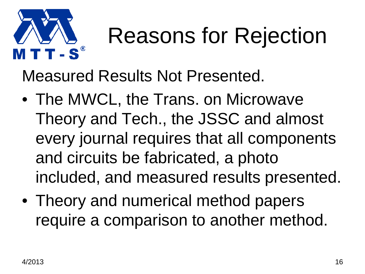

Measured Results Not Presented.

- The MWCL, the Trans. on Microwave Theory and Tech., the JSSC and almost every journal requires that all components and circuits be fabricated, a photo included, and measured results presented.
- Theory and numerical method papers require a comparison to another method.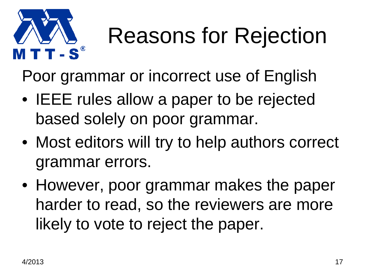

Poor grammar or incorrect use of English

- IEEE rules allow a paper to be rejected based solely on poor grammar.
- Most editors will try to help authors correct grammar errors.
- However, poor grammar makes the paper harder to read, so the reviewers are more likely to vote to reject the paper.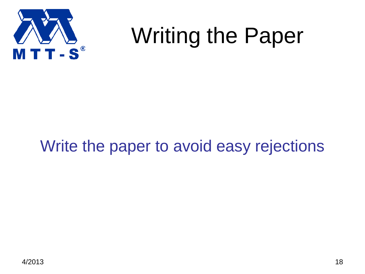

#### Writing the Paper

#### Write the paper to avoid easy rejections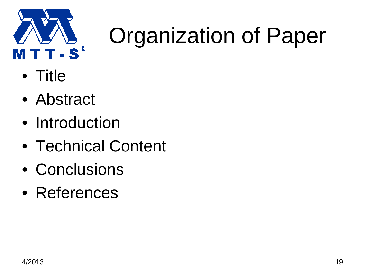

- Title
- Abstract
- Introduction
- Technical Content
- Conclusions
- References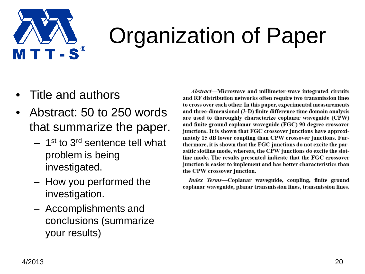

- Title and authors
- Abstract: 50 to 250 words that summarize the paper.
	- $-$  1<sup>st</sup> to 3<sup>rd</sup> sentence tell what problem is being investigated.
	- How you performed the investigation.
	- Accomplishments and conclusions (summarize your results)

*Abstract*—Microwave and millimeter-wave integrated circuits and RF distribution networks often require two transmission lines to cross over each other. In this paper, experimental measurements and three-dimensional (3-D) finite difference time domain analysis are used to thoroughly characterize coplanar waveguide (CPW) and finite ground coplanar waveguide (FGC) 90-degree crossover junctions. It is shown that FGC crossover junctions have approximately 15 dB lower coupling than CPW crossover junctions. Furthermore, it is shown that the FGC junctions do not excite the parasitic slotline mode, whereas, the CPW junctions do excite the slotline mode. The results presented indicate that the FGC crossover junction is easier to implement and has better characteristics than the CPW crossover junction.

Index Terms-Coplanar waveguide, coupling, finite ground coplanar waveguide, planar transmission lines, transmission lines.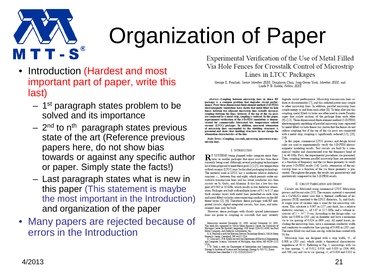

- Introduction (Hardest and most important part of paper, write this last)
	- $-$  1<sup>st</sup> paragraph states problem to be solved and its importance
	- $-2<sup>nd</sup>$  to n<sup>th</sup> paragraph states previous state of the art (Reference previous papers here, do not show bias towards or against any specific author or paper. Simply state the facts!)
	- Last paragraph states what is new in this paper (This statement is maybe the most important in the Introduction) and organization of the paper
- Many papers are rejected because of errors in the Introduction

Experimental Verification of the Use of Metal Filled Via Hole Fences for Crosstalk Control of Microstrip Lines in LTCC Packages

George E. Ponchak, Senior Member, IEEE, Donghoon Chun, Jong-Gwan Yook, Member, IEEE, and Linda P. B. Katehi. Fellow, IEEE

Abstract-Coupling between microstrip lines in dense RF packages is a common problem that degrades circuit performance. Prior three-dimensional-finite element method (3-D-FEM) electromagnetic simulations have shown that metal filled via hole fences between two adjacent microstrip lines actually increases coupling between the lines; however, if the top of the via posts are connected by a metal strip, coupling is reduced. In this paper, experimental verification of the 3-D-FEM simulations is demonstrated for commercially fabricated low temperature cofired ceramic (LTCC) packages. In addition, measured attenuation of microstrip lines surrounded by the shielding structures is presented and shows that shielding structures do not change the attenuation characteristics of the line.

Index Terms-Coupling, crosstalk, microstrip, microwave transmission lines

#### I. INTRODUCTION

R F SYSTEMS being planned today integrate more func-<br>tions in smaller packages that must cost less than those currently being used. Although several packaging technologies have been proposed to meet these goals [1]-[5], low temperature cofired ceramic (LTCC) may be the ideal packaging technology. The material used in LTCC has a moderate relative dielectric constant.  $\varepsilon_n$ , between four and eight, which permits wider microwave transmission lines and has lower conductor loss than circuits on Si, GaAs, and Alumina. It also has a low loss tangent of 0.002 at 10 GHz, which results in low dielectric attenuation. Packages are built with multiple layers of 0.1 to 0.15 mm thick ceramic layers with metal lines permitted on each layer and metal filled via holes interconnecting conductors on the different layers [2], [6]. Therefore, dense packages with RF integrated circuits, digital integrated circuits, bias lines, and interconnect lines may be built.

However, dense packages with closely spaced interconnect lines are prone to coupling or crosstalk that may severely

USA.<br>J-W. Yook is with the Department of Information and Communications,<br>Kwane-Iu Institute of Science and Technology Kwane-Iu 500-712. Korea Kwang-Ju Institute of Science and Technology, Kwang-Ju 500-712, Korea. Publisher Item Identifier S 1521-3323(01)02415-

degrade circuit performance. Microstrip transmission lines radiate at discontinuities [7], and this radiated power may couple to other microstrip lines. In addition, parallel microstrip lines couple energy to and from each other [8]. To help alleviate this coupling, metal filled via holes are often used to create Faraday cages that isolate sections of the package from each other [9]-[12]. Three-dimensional-finite element method (3-D-FEM) electromagnetic modeling of parallel microstrip lines separated by metal filled via hole fences has shown that the fences do not reduce coupling, but if the top of the via posts are connected with a metal strip, coupling is significantly reduced [13], [20],  $[14]$ 

In this paper, commercial LTCC process and design layout rules are used to experimentally verify the 3-D-FEM electromagnetic modeling results. Test circuits are built by a commercial vendor and characterized over the frequency band of 2 to 40 GHz. First, the experimental procedures are presented. Then, coupling between parallel microstrip lines are presented as a function of frequency and the via fence geometry to verify the prior 3-D-FEM results [14]. Lastly, attenuation of the microstrip lines as a function of the via fence geometry is presented. Throughout the paper, the results are quantitatively and qualitatively compared to the 3-D-FEM results.

#### II. CIRCUIT FABRICATION AND DESIGN

Circuits are fabricated using commercial LTCC fabrication process and layout rules [15]. The ceramic material is mounted on a Cu/Mo/Cu metal core that is thermal coefficient of expansion (TCE) matched to the LTCC dielectric, Si, and GaAs. A single layer of ceramic tape is used for the microstrip substrate. This substrate is 0.005 in (127  $\mu$ m) thick, has a relative dielectric constant,  $\varepsilon_r$ , of 5.67 at 12.5 GHz, and a volume resistivity of  $5 \times 10^{15}$   $\Omega$ -cm. According to the design rules, via holes are 0.008 in (203  $\mu$ m) in diameter and have a minimum via to via spacing of 0.024 in (609  $\mu$ m). All metal traces, including the microstrip lines, have a minimum conductor width and conductor-to-conductor line spacing of 0.008 in (203  $\mu$ m). The metal filled vias and lines are Ag, with the lines coated with Ni/Au.

Microstrip lines are designed with a strip width,  $W$ , of  $0.008$  in (203  $\mu$ m), which vields a theoretical characteristic impedance of 50  $\Omega$ . Referring to Fig. 1, microstrips with via to line spacing, S, of 0.012, 0.016, and 0.020 in (304, 406, and 508  $\mu$ m) and via to via spacing, G, of 0.024 and 0.032 in

Manuscript received December 20, 1999; revised November 16, 2000. Now we supported by NASA Glenn Research Center, the University of Nichigan Center for Parallel Computing, NSF Grant CDA-92-14296, the Ford Motor Company, and Dielectric Laboratories, Inc.

G. E. Ponchak is with the Electron Devices Technology Branch, NASA Glenn Francisco Center, Cleveland, OH 44135 USA<br>D. Channels, Cleveland, OH 44135 USA<br>D. Chun and L. P. B. Katelú are with the Department of Electrical Engineering<br>and Computer Science, University of Michigan, Ann Arbor, MI 48109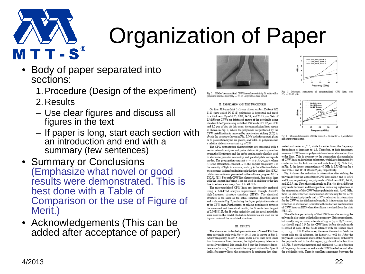

- Body of paper separated into sections:
	- 1.Procedure (Design of the experiment)
	- 2.Results
	- Use clear figures and discuss all figures in the text
	- If paper is long, start each section with an introduction and end with a summary (few sentences)
- Summary or Conclusions (Emphasize what novel or good results were demonstrated. This is best done with a Table of Comparison or the use of Figure of Merit.)
- Acknowledgements (This can be added after acceptance of paper)



Fig. 2. SEM of micromachined CPW line on low-resistivity Si wafer with a polyimide interface layer ( $H_{\rm P} = 20.15~\mu{\rm m}$ ) that has been etched.

#### II. FABRICATION AND TEST PROCEDURES

On four 385- $\mu$ m-thick 1- $\Omega$  - cm silicon wafers, DuPont WE 1111 (now called PI-1111) polyimide is deposited and cured to a thickness  $Hv$  of 6.35, 8.83, 14.59, and 20.15  $\mu$ m. Sets of 15 different CPWs are fabricated on top of the polyimide using standard liftoff processing with the CPW made of 0.02  $\mu$ m of Ti and  $1.5~\mu{\rm m}$  of Au. At this point, the transmission lines appear as shown in Fig. 1, where the polyimide not protected by the CPW metallization is removed by reactive ion etching (RIE) to obtain the structure shown in Fig. 2. No backside ground plane or Si passivation lavers are grown, and WE1111 polyimide has a relative dielectric constant  $\varepsilon_{r1}$  of 2.8.

The CPW propagation characteristics are measured with a vector network analyzer and probe station. A quartz spacer between the Si substrate and the probe station wafer chuck is used to eliminate parasitic microstrip and parallel-plate waveguide modes. The propagation constant  $\gamma = \alpha + j\omega\sqrt{\epsilon_{\rm eff}}/c$ , where  $\alpha$  is the attenuation constant.  $\omega$  is the angular frequency,  $c$  is the velocity of light in vacuum, and  $\varepsilon_{\rm eff}$  is the effective dielectric constant, is deembedded through the thru-reflect-line (TRL) calibration routine implemented in the software program MUL-TICAL [11]. For each CPW line characterized, four delay lines with the longest line being 1 cm are used in addition to the thru line to enhance accuracy from 1 to 40 GHz.

The micromachined CPW lines are theoretically analyzed using a 3-D-FEM analysis implemented through Ansoft's high-frequency structure simulator (HFSS). The simulated structure is the same as the actual structure described above and is shown in Fig. 2, including the  $2\text{-} \mu \text{m}$  polyimide undercut of the CPW lines. Furthermore, to achieve good match between the measured and theoretical results, the Si wafer loss tangent of 0.0018 [12], the Si wafer resistivity, and the metal resistivity were used in the model. Radiation boundaries are used on the top and sides of the simulated structure.

#### III. RESULTS

The attenuation in decibels per centimeter of three CPW lines after polyimide etch with  $Hp = 20.15 \mu m$  is shown in Fig. 3. At low frequency, below  $X$ -band, wider CPW lines have lower loss than narrow lines; however, the high-frequency behavior is not easily predicted. It is seen in Fig. 3 that the frequency dependence  $n$  of  $\alpha = a f^n$  varies with the strip and slot widths. Specifically, for narrow lines, the attenuation is conductor-loss dom-



Fig. 3. Measured attenuation of micromachined CPW lines with  $Hp=20.15~\mu{\rm m}.$ 



Fig. 4. Measured attenuation of CPW lines ( $S = 10$  and  $W = 9 \ \mu \text{m}$ ) before and after polyimide etch.

inated and varies as  $f^{0.5}$ , while for wider lines, the frequency dependence  $n$  increases to 1.5. Therefore, at high frequency, narrower CPW lines on polyimide have lower attenuation than wider lines. This is contrary to the attenuation characteristics of CPW lines on insulating substrates, which are dominated by conductor loss for both narrow and wide lines [13]. Note that, in Fig. 3, the lowest attenuation at 40 GHz is 2.75 dB/cm for a line with  $S$  and  $W$  of 10 and 9  $\mu$ m, respectively.

Fig. 4 shows the reduction in attenuation after etching the polyimide from the slots of three CPW lines with  $S$  and  $W$  of  $10$ and 9 um, respectively, on polyimide of thickness 8.83, 14.59. and 20.15  $\mu$ m. Note that each graph on Fig. 4 is for a different polyimide thickness and the upper line, indicating higher loss, is the attenuation of the CPW before polyimide etch. At 40 GHz. there is a 28% reduction in attenuation after etching for the CPW on the thinnest polyimide and a 35% reduction in attenuation for the CPW on the thickest polymuide. It is interesting that this reduction in attenuation is similar to the reduction in attenuation of CPW lines on HRS when the silicon is etched from the slots  $[9]$ ,  $[10]$ 

The effective permittivity of the CPW lines after etching the polyimide also varies with the line geometry. If the approximate, but usually very accurate, estimate of  $\varepsilon_{\rm eff}=(\varepsilon_r+1)/2$  is used,  $\varepsilon_{\rm eff}$  should equal 1.9 for the CPW lines before the polyimide is etched if none of the fields interact with the silicon since  $\varepsilon_r = \varepsilon_{r1} = 2.8$ . Furthermore, the more the electric fields interact with the Si substrate, the higher  $\varepsilon_{\rm eff}$  will be. After the polyimide is etched and more of the fields are in air, both above the polyimide and in the slot region,  $\varepsilon_{\rm eff}$  should to be less than 1.9. Fig. 5 shows the measured and calculated  $\varepsilon_{\rm eff}$  as a function of frequency for a narrow and a wide CPW line before and after the polyimide etch. There is excellent agreement between the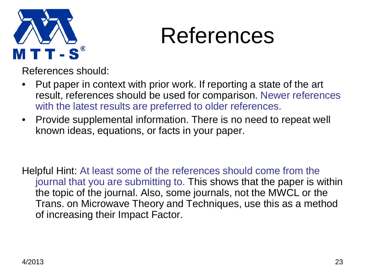

#### References

References should:

- Put paper in context with prior work. If reporting a state of the art result, references should be used for comparison. Newer references with the latest results are preferred to older references.
- Provide supplemental information. There is no need to repeat well known ideas, equations, or facts in your paper.

Helpful Hint: At least some of the references should come from the journal that you are submitting to. This shows that the paper is within the topic of the journal. Also, some journals, not the MWCL or the Trans. on Microwave Theory and Techniques, use this as a method of increasing their Impact Factor.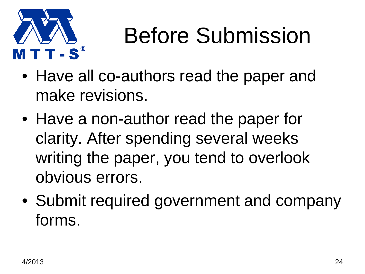

### Before Submission

- Have all co-authors read the paper and make revisions.
- Have a non-author read the paper for clarity. After spending several weeks writing the paper, you tend to overlook obvious errors.
- Submit required government and company forms.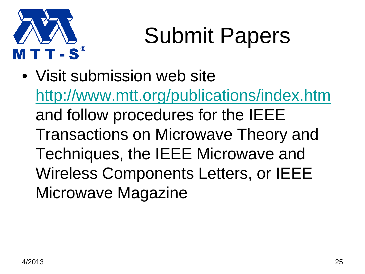

## Submit Papers

• Visit submission web site <http://www.mtt.org/publications/index.htm> and follow procedures for the IEEE Transactions on Microwave Theory and Techniques, the IEEE Microwave and Wireless Components Letters, or IEEE Microwave Magazine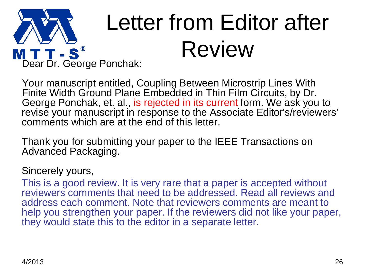

Your manuscript entitled, Coupling Between Microstrip Lines With Finite Width Ground Plane Embedded in Thin Film Circuits, by Dr. George Ponchak, et. al., is rejected in its current form. We ask you to revise your manuscript in response to the Associate Editor's/reviewers' comments which are at the end of this letter.

Thank you for submitting your paper to the IEEE Transactions on Advanced Packaging.

#### Sincerely yours,

This is a good review. It is very rare that a paper is accepted without reviewers comments that need to be addressed. Read all reviews and address each comment. Note that reviewers comments are meant to help you strengthen your paper. If the reviewers did not like your paper, they would state this to the editor in a separate letter.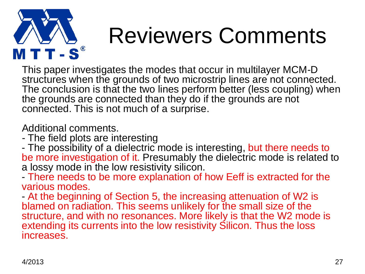

#### Reviewers Comments

This paper investigates the modes that occur in multilayer MCM-D structures when the grounds of two microstrip lines are not connected. The conclusion is that the two lines perform better (less coupling) when the grounds are connected than they do if the grounds are not connected. This is not much of a surprise.

Additional comments.

- The field plots are interesting
- The possibility of a dielectric mode is interesting, but there needs to be more investigation of it. Presumably the dielectric mode is related to a lossy mode in the low resistivity silicon.
- There needs to be more explanation of how Eeff is extracted for the various modes.
- At the beginning of Section 5, the increasing attenuation of W2 is blamed on radiation. This seems unlikely for the small size of the structure, and with no resonances. More likely is that the W2 mode is extending its currents into the low resistivity Silicon. Thus the loss increases.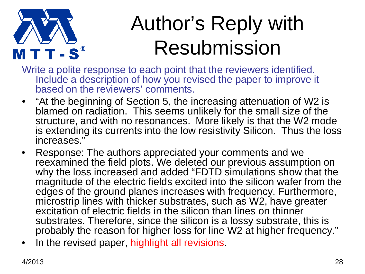

#### Author's Reply with Resubmission

- Write a polite response to each point that the reviewers identified. Include a description of how you revised the paper to improve it based on the reviewers' comments.
- "At the beginning of Section 5, the increasing attenuation of W2 is blamed on radiation. This seems unlikely for the small size of the structure, and with no resonances. More likely is that the W2 mode is extending its currents into the low resistivity Silicon. Thus the loss increases."
- Response: The authors appreciated your comments and we reexamined the field plots. We deleted our previous assumption on why the loss increased and added "FDTD simulations show that the magnitude of the electric fields excited into the silicon wafer from the edges of the ground planes increases with frequency. Furthermore, microstrip lines with thicker substrates, such as W2, have greater excitation of electric fields in the silicon than lines on thinner substrates. Therefore, since the silicon is a lossy substrate, this is probably the reason for higher loss for line W2 at higher frequency."
- In the revised paper, highlight all revisions.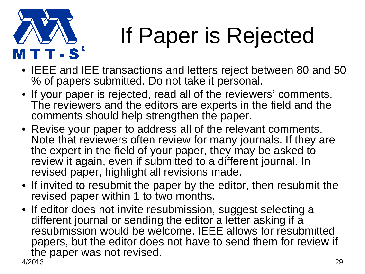

## If Paper is Rejected

- IEEE and IEE transactions and letters reject between 80 and 50 % of papers submitted. Do not take it personal.
- If your paper is rejected, read all of the reviewers' comments. The reviewers and the editors are experts in the field and the comments should help strengthen the paper.
- Revise your paper to address all of the relevant comments. Note that reviewers often review for many journals. If they are the expert in the field of your paper, they may be asked to review it again, even if submitted to a different journal. In revised paper, highlight all revisions made.
- If invited to resubmit the paper by the editor, then resubmit the revised paper within 1 to two months.
- 4/2013 29 • If editor does not invite resubmission, suggest selecting a different journal or sending the editor a letter asking if a resubmission would be welcome. IEEE allows for resubmitted papers, but the editor does not have to send them for review if the paper was not revised.<br> $4/2013$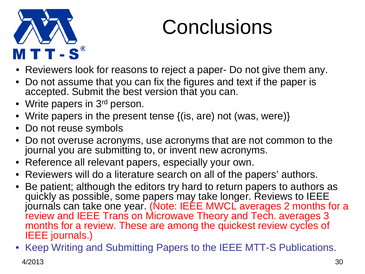

#### **Conclusions**

- Reviewers look for reasons to reject a paper- Do not give them any.
- Do not assume that you can fix the figures and text if the paper is accepted. Submit the best version that you can.
- Write papers in 3<sup>rd</sup> person.
- Write papers in the present tense {(is, are) not (was, were)}
- Do not reuse symbols
- Do not overuse acronyms, use acronyms that are not common to the journal you are submitting to, or invent new acronyms.
- Reference all relevant papers, especially your own.
- Reviewers will do a literature search on all of the papers' authors.
- Be patient; although the editors try hard to return papers to authors as quickly as possible, some papers may take longer. Reviews to IEEE journals can take one year. (Note: IEEE MWCL averages 2 months for a review and IEEE Trans on Microwave Theory and Tech. averages 3 months for a review. These are among the quickest review cycles of IEEE journals.)
- 4/2013 30 • Keep Writing and Submitting Papers to the IEEE MTT-S Publications.